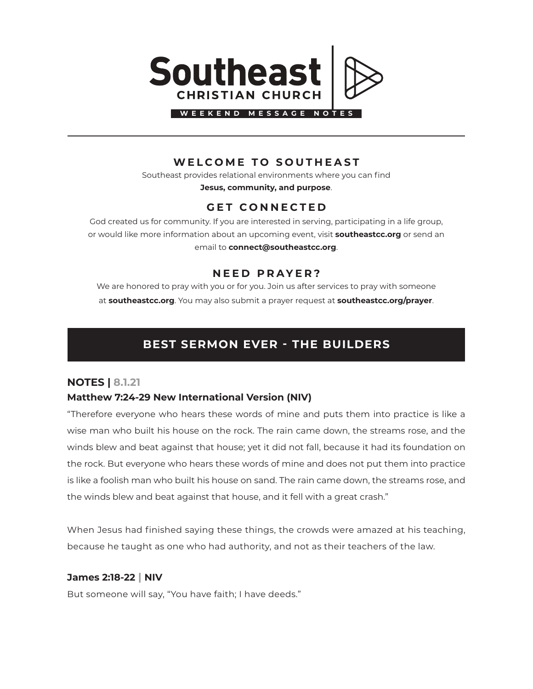

### **WELCOME TO SOUTHEAST**

Southeast provides relational environments where you can find **Jesus, community, and purpose**.

## **GET CONNECTED**

God created us for community. If you are interested in serving, participating in a life group, or would like more information about an upcoming event, visit **southeastcc.org** or send an email to **connect@southeastcc.org**.

#### **NEED PRAYER?**

We are honored to pray with you or for you. Join us after services to pray with someone at **southeastcc.org**. You may also submit a prayer request at **southeastcc.org/prayer**.

# **BEST SERMON EVER - THE BUILDERS**

#### **NOTES | 8.1.21**

#### **Matthew 7:24-29 New International Version (NIV)**

"Therefore everyone who hears these words of mine and puts them into practice is like a wise man who built his house on the rock. The rain came down, the streams rose, and the winds blew and beat against that house; yet it did not fall, because it had its foundation on the rock. But everyone who hears these words of mine and does not put them into practice is like a foolish man who built his house on sand. The rain came down, the streams rose, and the winds blew and beat against that house, and it fell with a great crash."

When Jesus had finished saying these things, the crowds were amazed at his teaching, because he taught as one who had authority, and not as their teachers of the law.

#### **James 2:18-22 | NIV**

But someone will say, "You have faith; I have deeds."